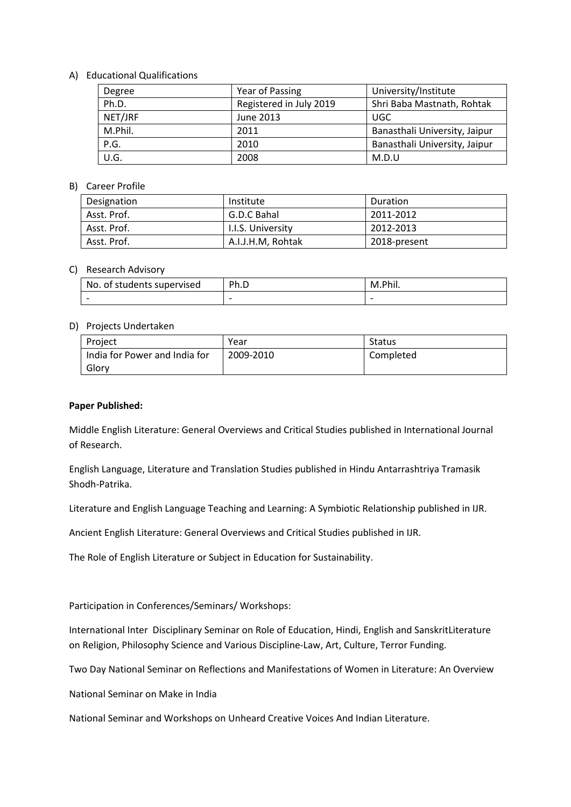### A) Educational Qualifications

| Degree  | Year of Passing         | University/Institute          |
|---------|-------------------------|-------------------------------|
| Ph.D.   | Registered in July 2019 | Shri Baba Mastnath, Rohtak    |
| NET/JRF | June 2013               | <b>UGC</b>                    |
| M.Phil. | 2011                    | Banasthali University, Jaipur |
| P.G.    | 2010                    | Banasthali University, Jaipur |
| U.G.    | 2008                    | M.D.U                         |

# B) Career Profile

| Designation | Institute         | Duration     |
|-------------|-------------------|--------------|
| Asst. Prof. | G.D.C Bahal       | 2011-2012    |
| Asst. Prof. | I.I.S. University | 2012-2013    |
| Asst. Prof. | A.I.J.H.M, Rohtak | 2018-present |

# C) Research Advisory

| No. of students supervised | Ph.D                     | M.Phil. |
|----------------------------|--------------------------|---------|
|                            | $\overline{\phantom{0}}$ |         |

### D) Projects Undertaken

| Project                       | Year      | <b>Status</b> |
|-------------------------------|-----------|---------------|
| India for Power and India for | 2009-2010 | Completed     |
| Glory                         |           |               |

#### **Paper Published:**

Middle English Literature: General Overviews and Critical Studies published in International Journal of Research.

English Language, Literature and Translation Studies published in Hindu Antarrashtriya Tramasik Shodh-Patrika.

Literature and English Language Teaching and Learning: A Symbiotic Relationship published in IJR.

Ancient English Literature: General Overviews and Critical Studies published in IJR.

The Role of English Literature or Subject in Education for Sustainability.

Participation in Conferences/Seminars/ Workshops:

International Inter Disciplinary Seminar on Role of Education, Hindi, English and SanskritLiterature on Religion, Philosophy Science and Various Discipline-Law, Art, Culture, Terror Funding.

Two Day National Seminar on Reflections and Manifestations of Women in Literature: An Overview

National Seminar on Make in India

National Seminar and Workshops on Unheard Creative Voices And Indian Literature.